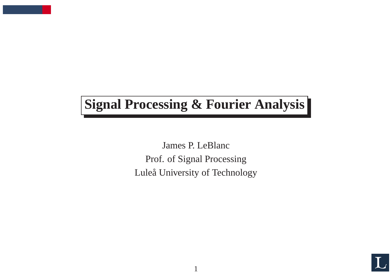# **Signal Processing & Fourier Analysis**

James P. LeBlanc Prof. of Signal Processing Luleå University of Technology

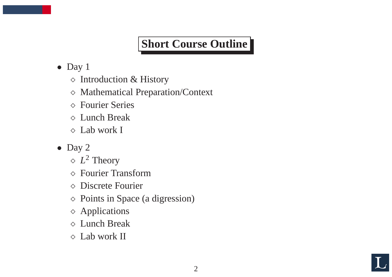## **Short Course Outline**

- Day 1
	- $\diamond$  Introduction & History
	- <sup>⋄</sup> Mathematical Preparation/Context
	- <sup>⋄</sup> Fourier Series
	- <sup>⋄</sup> Lunch Break
	- <sup>⋄</sup> Lab work I
- Day 2
	- $\Diamond$   $L^2$  Theory
	- <sup>⋄</sup> Fourier Transform
	- <sup>⋄</sup> Discrete Fourier
	- <sup>⋄</sup> Points in Space (a digression)
	- <sup>⋄</sup> Applications
	- <sup>⋄</sup> Lunch Break
	- <sup>⋄</sup> Lab work II

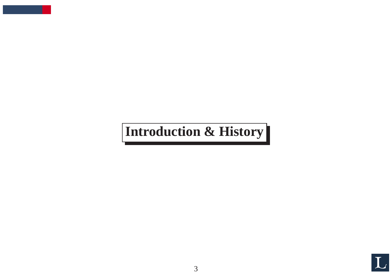# **Introduction & History**

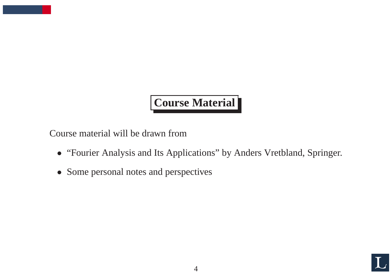# **Course Material**

Course material will be drawn from

- "Fourier Analysis and Its Applications" by Anders Vretbland, Springer.
- Some personal notes and perspectives

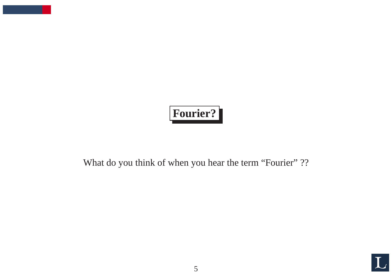# **Fourier?**

What do you think of when you hear the term "Fourier" ??

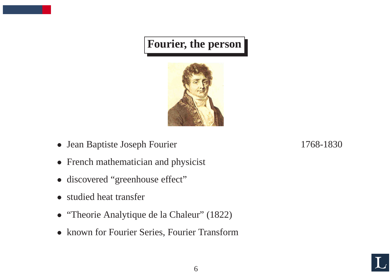## **Fourier, the person**



- Jean Baptiste Joseph Fourier 1768-1830
- French mathematician and physicist
- discovered "greenhouse effect"
- studied heat transfer
- "Theorie Analytique de la Chaleur" (1822)
- known for Fourier Series, Fourier Transform

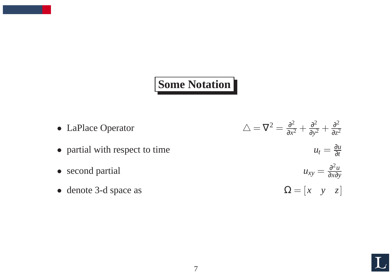#### **Some Notation**

• LaPlace Operator  $\Delta = \nabla^2 = \frac{\partial^2}{\partial x^2} + \frac{\partial^2}{\partial y^2} + \frac{\partial^2}{\partial z^2}$ • partial with respect to time  $u_t = \frac{\partial u}{\partial t}$ • second partial  $u_{xy} = \frac{\partial^2 u}{\partial x \partial y}$ • denote 3-d space as  $\Omega = \begin{bmatrix} x & y & z \end{bmatrix}$ 

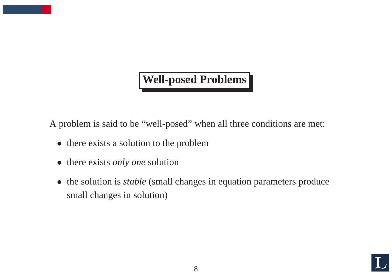#### **Well-posed Problems**

A problem is said to be "well-posed" when all three conditions are met:

- there exists a solution to the problem
- there exists *only one* solution
- the solution is *stable* (small changes in equation parameters produce small changes in solution)

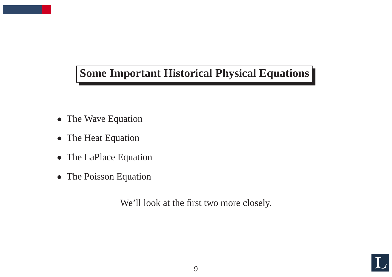## **Some Important Historical Physical Equations**

- The Wave Equation
- The Heat Equation
- The LaPlace Equation
- The Poisson Equation

We'll look at the first two more closely.

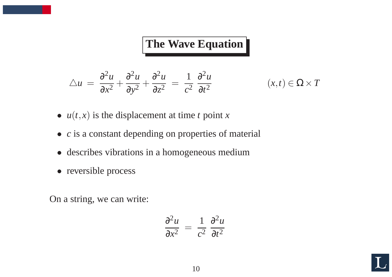## **The Wave Equation**

$$
\triangle u = \frac{\partial^2 u}{\partial x^2} + \frac{\partial^2 u}{\partial y^2} + \frac{\partial^2 u}{\partial z^2} = \frac{1}{c^2} \frac{\partial^2 u}{\partial t^2} \qquad (x, t) \in \Omega \times T
$$

$$
(x,t)\in\Omega\times T
$$

- $u(t, x)$  is the displacement at time *t* point *x*
- *<sup>c</sup>* is <sup>a</sup> constant depending on properties of material
- describes vibrations in <sup>a</sup> homogeneous medium
- reversible process

On <sup>a</sup> string, we can write:

$$
\frac{\partial^2 u}{\partial x^2} = \frac{1}{c^2} \frac{\partial^2 u}{\partial t^2}
$$

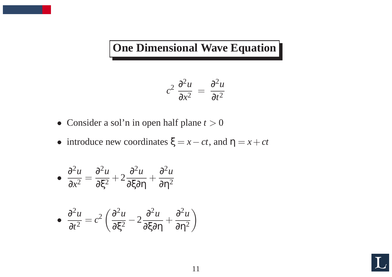**One Dimensional Wave Equation**

$$
c^2 \frac{\partial^2 u}{\partial x^2} = \frac{\partial^2 u}{\partial t^2}
$$

- Consider a sol'n in open half plane  $t > 0$
- introduce new coordinates  $\xi = x ct$ , and  $\eta = x + ct$

$$
\bullet \ \frac{\partial^2 u}{\partial x^2} = \frac{\partial^2 u}{\partial \xi^2} + 2 \frac{\partial^2 u}{\partial \xi \partial \eta} + \frac{\partial^2 u}{\partial \eta^2}
$$

$$
\bullet \ \frac{\partial^2 u}{\partial t^2} = c^2 \left( \frac{\partial^2 u}{\partial \xi^2} - 2 \frac{\partial^2 u}{\partial \xi \partial \eta} + \frac{\partial^2 u}{\partial \eta^2} \right)
$$

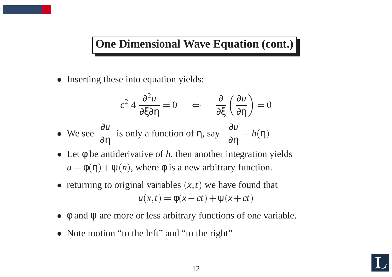#### **One Dimensional Wave Equation (cont.)**

• Inserting these into equation yields:

$$
c^2 4 \frac{\partial^2 u}{\partial \xi \partial \eta} = 0 \quad \Leftrightarrow \quad \frac{\partial}{\partial \xi} \left( \frac{\partial u}{\partial \eta} \right) = 0
$$
  
• We see  $\frac{\partial u}{\partial \eta}$  is only a function of  $\eta$ , say  $\frac{\partial u}{\partial \eta} = h(\eta)$ 

- Let φ be antiderivative of *h*, then another integration yields  $u = \phi(\eta) + \psi(n)$ , where  $\phi$  is a new arbitrary function.
- returning to original variables  $(x, t)$  we have found that  $u(x,t) = \phi(x-ct) + \psi(x+ct)$
- φ and  $\psi$  are more or less arbitrary functions of one variable.
- Note motion "to the left" and "to the right"

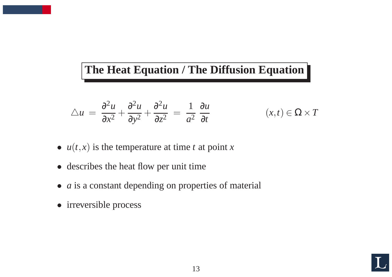### **The Heat Equation / The Diffusion Equation**

$$
\triangle u = \frac{\partial^2 u}{\partial x^2} + \frac{\partial^2 u}{\partial y^2} + \frac{\partial^2 u}{\partial z^2} = \frac{1}{a^2} \frac{\partial u}{\partial t} \qquad (x, t) \in \Omega \times T
$$

- $u(t, x)$  is the temperature at time t at point x
- describes the heat flow per unit time
- *a* is a constant depending on properties of material
- irreversible process

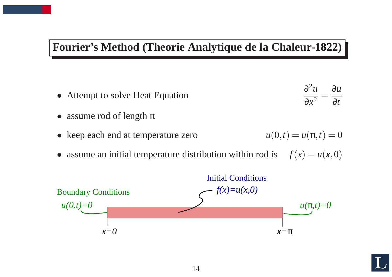#### **Fourier's Method (Theorie Analytique de la Chaleur-1822)**

- Attempt to solve Heat Equation  $\partial^2 u$  $\partial x^2$ = ∂ *u* ∂ *t*
- assume rod of length  $\pi$
- keep each end at temperature zero

$$
u(0,t) = u(\pi, t) = 0
$$

• assume an initial temperature distribution within rod is  $f(x) = u(x,0)$ 



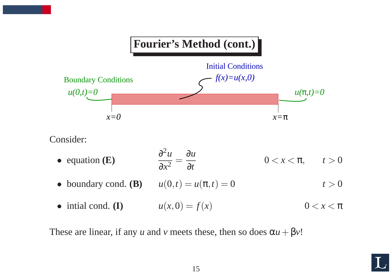# **Fourier's Method (cont.)** Initial Conditions *f(x)=u(x,0)*



Consider:

- equation **(E)**  $\partial^2 u$  $\partial x^2$ = ∂ *u* ∂ *t*  $0 < x < \pi$ ,  $t > 0$
- boundary cond. **(B)**  $u(0,t) = u(\pi,t) = 0$  $t > 0$
- intial cond. **(I)**  $u(x, 0) = f(x)$  $0 < x < \pi$

These are linear, if any *u* and *v* meets these, then so does  $\alpha u + \beta v$ !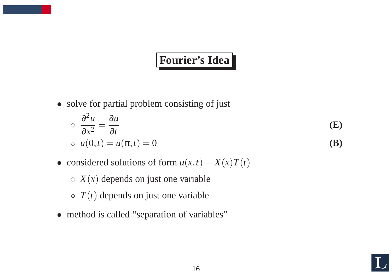## **Fourier's Idea**

• solve for partial problem consisting of just

$$
\diamond \frac{\partial^2 u}{\partial x^2} = \frac{\partial u}{\partial t}
$$
(E)  
\diamond u(0,t) = u(\pi, t) = 0 (B)

- considered solutions of form  $u(x,t) = X(x)T(t)$ 
	- $\Diamond$  *X*(*x*) depends on just one variable
	- $\Diamond$  *T*(*t*) depends on just one variable
- method is called "separation of variables"

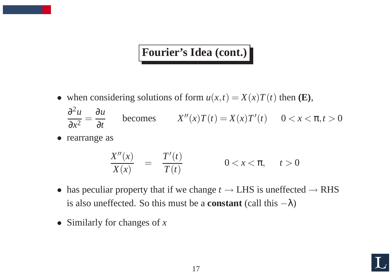## **Fourier's Idea (cont.)**

- when considering solutions of form  $u(x,t) = X(x)T(t)$  then **(E)**, ∂<sup>2</sup>*u* ∂*x*<sup>2</sup> = ∂*u* **becomes**  $X''(x)T(t) = X(x)T'(t)$   $0 < x < \pi, t > 0$
- rearrange as

$$
\frac{X''(x)}{X(x)} = \frac{T'(t)}{T(t)} \qquad 0 < x < \pi, \quad t > 0
$$

- has peculiar property that if we change  $t \rightarrow$  LHS is uneffected  $\rightarrow$  RHS is also uneffected. So this must be a **constant** (call this  $-\lambda$ )
- Similarly for changes of *<sup>x</sup>*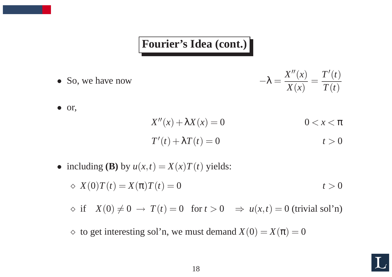#### **Fourier's Idea (cont.)**

• So, we have now <sup>−</sup><sup>λ</sup> <sup>=</sup> *<sup>X</sup>*′′(*x*) *<sup>X</sup>*(*x*) <sup>=</sup> *<sup>T</sup>*′(*t*) *<sup>T</sup>*(*t*)

$$
-\lambda = \frac{X''(x)}{X(x)} = \frac{T'(t)}{T(t)}
$$

• or,

$$
X''(x) + \lambda X(x) = 0
$$
  
 
$$
T'(t) + \lambda T(t) = 0
$$
  
 
$$
0 < x < \pi
$$
  
 
$$
t > 0
$$

- including **(B)** by  $u(x,t) = X(x)T(t)$  yields:
	- $\alpha X(0)T(t) = X(\pi)T(t) = 0$   $t > 0$

 $\Diamond$  if  $X(0) \neq 0 \rightarrow T(t) = 0$  for  $t > 0 \Rightarrow u(x,t) = 0$  (trivial sol'n)

 $\Diamond$  to get interesting sol'n, we must demand  $X(0) = X(\pi) = 0$ 

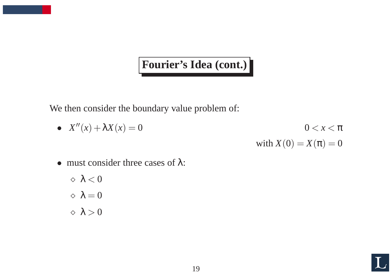## **Fourier's Idea (cont.)**

We then consider the boundary value problem of:

- $X''(x) + \lambda X(x) = 0$  0 < *x* <  $\pi$ with  $X(0) = X(\pi) = 0$
- must consider three cases of  $\lambda$ :

$$
\diamond \lambda < 0
$$
\n
$$
\diamond \lambda = 0
$$
\n
$$
\diamond \lambda > 0
$$

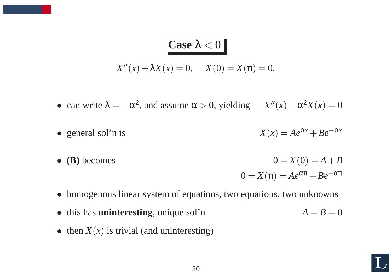# **Case**  $\lambda < 0$

$$
X''(x) + \lambda X(x) = 0, \quad X(0) = X(\pi) = 0,
$$

- can write  $\lambda = -\alpha^2$ , and assume  $\alpha > 0$ , yielding  $X''(x) \alpha^2 X(x) = 0$
- general sol'n is  $X(x) = Ae^{\alpha x} + Be^{-\alpha x}$
- **(B)** becomes  $0 = X(0) = A + B$  $0 = X(\pi) = Ae^{\alpha\pi} + Be^{-\alpha\pi}$
- homogenous linear system of equations, two equations, two unknowns
- this has **uninteresting**, unique sol'n  $A = B = 0$
- then  $X(x)$  is trivial (and uninteresting)

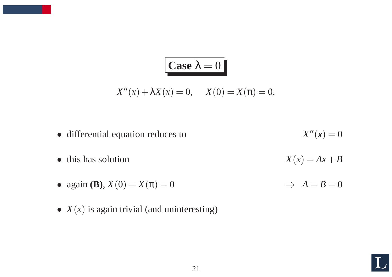$$
\begin{aligned}\n\text{Case } \lambda &= 0 \\
X''(x) + \lambda X(x) &= 0, \quad X(0) = X(\pi) = 0,\n\end{aligned}
$$

- differential equation reduces to  $X''(x) = 0$ • this has solution  $X(x) = Ax + B$ • again **(B)**,  $X(0) = X(\pi) = 0$   $\implies A = B = 0$
- $X(x)$  is again trivial (and uninteresting)

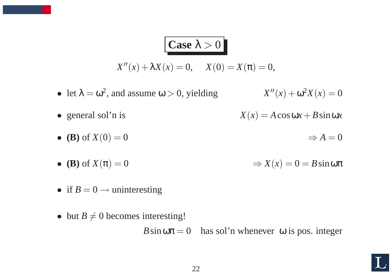# **Case**  $\lambda > 0$

- $X''(x) + \lambda X(x) = 0,$   $X(0) = X(\pi) = 0,$
- let  $\lambda = \omega^2$ , and assume  $\omega > 0$ , yielding  $X''(x) + \omega^2 X(x) = 0$
- general sol'n is  $X(x) = A\cos\omega x + B\sin\omega x$
- **(B)** of  $X(0) = 0$   $\Rightarrow A = 0$
- **(B)** of  $X(\pi) = 0$   $\Rightarrow X(x) = 0 = B \sin \omega \pi$
- if  $B = 0 \rightarrow$  uninteresting
- but  $B \neq 0$  becomes interesting!

 $B \sin \omega \pi = 0$  has sol'n whenever  $\omega$  is pos. integer

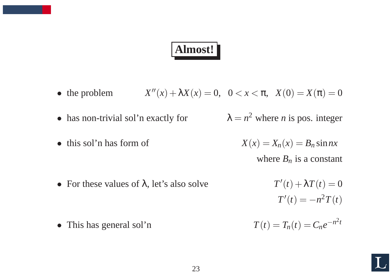# **Almost!**

- the problem  $X''(x) + \lambda X(x) = 0, \quad 0 < x < \pi, \quad X(0) = X(\pi) = 0$
- has non-trivial sol'n exactly for  $\lambda = n^2$  where *n* is pos. integer
- 

- this sol'n has form of  $X(x) = X_n(x) = B_n \sin nx$ where  $B_n$  is a constant
- For these values of  $\lambda$ , let's also solve  $T'(t) + \lambda T(t) = 0$

 $T'(t) = -n^2T(t)$ 

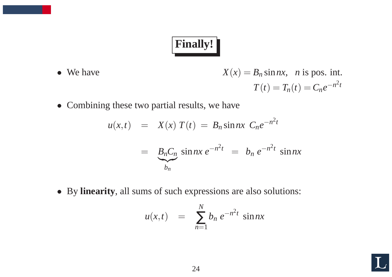# **Finally!**

- We have  $X(x) = B_n \sin nx$ , *n* is pos. int.  $T(t) = T_n(t) = C_n e^{-n^2 t}$
- Combining these two partial results, we have

$$
u(x,t) = X(x) T(t) = B_n \sin nx \ C_n e^{-n^2 t}
$$
  
= 
$$
B_n C_n \sin nx e^{-n^2 t} = b_n e^{-n^2 t} \sin nx
$$

• By **linearity**, all sums of such expressions are also solutions:

$$
u(x,t) = \sum_{n=1}^{N} b_n e^{-n^2t} \sin nx
$$

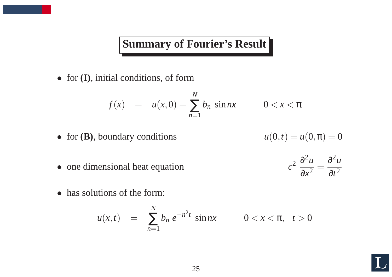#### **Summary of Fourier's Result**

• for **(I)**, initial conditions, of form

$$
f(x) = u(x,0) = \sum_{n=1}^{N} b_n \sin nx \qquad 0 < x < \pi
$$

• for **(B)**, boundary conditions

$$
u(0,t)=u(0,\pi)=0
$$

 $2\theta^2u$ 

 $\partial x^2$ 

=

 $\partial^2 u$ 

 $\partial t^2$ 

*c*

- one dimensional heat equation
- has solutions of the form:

$$
u(x,t) = \sum_{n=1}^{N} b_n e^{-n^2 t} \sin nx \qquad 0 < x < \pi, \quad t > 0
$$

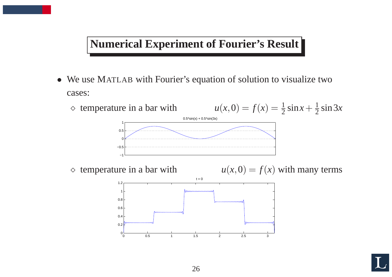#### **Numerical Experiment of Fourier's Result**

• We use MATLAB with Fourier's equation of solution to visualize two cases:



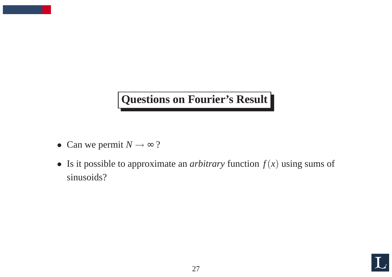## **Questions on Fourier's Result**

- Can we permit  $N \rightarrow \infty$ ?
- Is it possible to approximate an *arbitrary* function  $f(x)$  using sums of sinusoids?

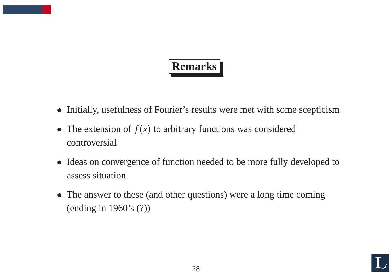# **Remarks**

- Initially, usefulness of Fourier's results were met with some scepticism
- The extension of  $f(x)$  to arbitrary functions was considered controversial
- Ideas on convergence of function needed to be more fully developed to assess situation
- The answer to these (and other questions) were a long time coming (ending in 1960's (?))

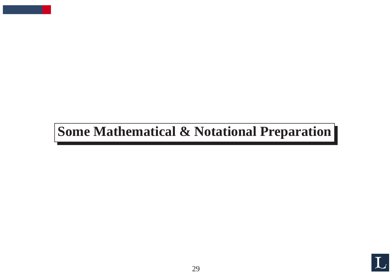# **Some Mathematical & Notational Preparation**

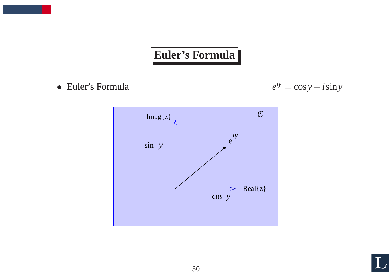## **Euler's Formula**

• Euler's Formula  $e^{iy} = \cos y + i \sin y$ 



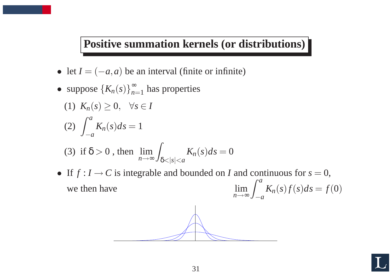#### **Positive summation kernels (or distributions)**

- let  $I = (-a, a)$  be an interval (finite or infinite)
- suppose  ${K_n(s)}_{n=1}^{\infty}$  $\sum_{n=1}^{\infty}$  has properties
	- (1)  $K_n(s) \geq 0, \quad \forall s \in I$

$$
(2)\int_{-a}^{a} K_n(s)ds = 1
$$

(3) if 
$$
\delta > 0
$$
, then  $\lim_{n \to \infty} \int_{\delta < |s| < a} K_n(s) ds = 0$ 

• If  $f: I \to C$  is integrable and bounded on *I* and continuous for  $s = 0$ , we then have  $\lim_{n\to\infty}\int_{-}$ *a* − *a*  $K_n(s) f(s) ds = f(0)$ 

$$
\overbrace{\hspace{1.5cm}}
$$

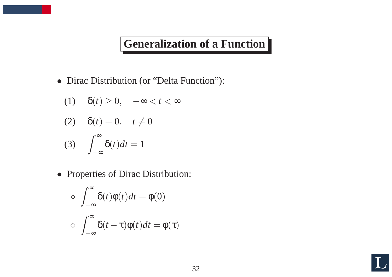#### **Generalization of <sup>a</sup> Function**

• Dirac Distribution (or "Delta Function"):

$$
(1) \quad \delta(t) \ge 0, \quad -\infty < t < \infty
$$

$$
(2) \quad \delta(t) = 0, \quad t \neq 0
$$

(3) 
$$
\int_{-\infty}^{\infty} \delta(t)dt = 1
$$

• Properties of Dirac Distribution:

$$
\begin{aligned}\n&\Diamond \int_{-\infty}^{\infty} \delta(t)\phi(t)dt = \phi(0) \\
&\Diamond \int_{-\infty}^{\infty} \delta(t-\tau)\phi(t)dt = \phi(\tau)\n\end{aligned}
$$

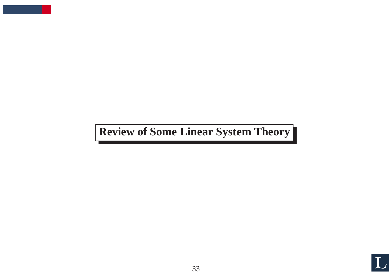**Review of Some Linear System Theory**

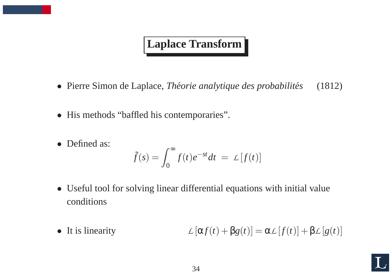### **Laplace Transform**

- Pierre Simon de Laplace, *Théorie analytique des probabilités* (1812)
- His methods "baffled his contemporaries".
- Defined as:

$$
\tilde{f}(s) = \int_0^\infty f(t)e^{-st}dt = \mathcal{L}[f(t)]
$$

- Useful tool for solving linear differential equations with initial value conditions
- It is linearity  $L[\alpha f(t) + \beta g(t)] = \alpha L[f(t)] + \beta L[g(t)]$

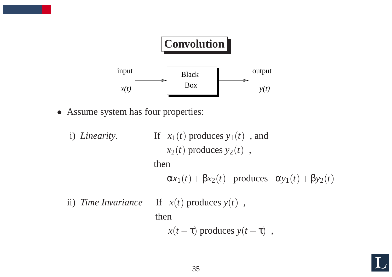

- Assume system has four properties:
	- i) *Linearity*. If  $x_1(t)$  produces  $y_1(t)$ , and  $x_2(t)$  produces  $y_2(t)$ , then  $\alpha x_1(t) + \beta x_2(t)$  produces  $\alpha y_1(t) + \beta y_2(t)$ ii) *Time Invariance* If  $x(t)$  produces  $y(t)$ , then

 $x(t-\tau)$  produces  $y(t-\tau)$ ,

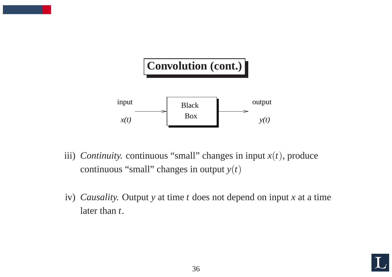

- iii) *Continuity*. continuous "small" changes in input  $x(t)$ , produce continuous "small" changes in output  $y(t)$
- iv) *Causality.* Output *y* at time *<sup>t</sup>* does not depend on input *<sup>x</sup>* at <sup>a</sup> time later than *t*.

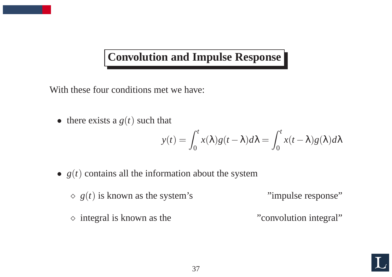#### **Convolution and Impulse Response**

With these four conditions met we have:

• there exists a  $g(t)$  such that

$$
y(t) = \int_0^t x(\lambda)g(t-\lambda)d\lambda = \int_0^t x(t-\lambda)g(\lambda)d\lambda
$$

•  $g(t)$  contains all the information about the system

 $\Diamond g(t)$  is known as the system's "impulse response"

<sup>⋄</sup> integral is known as the "convolution integral"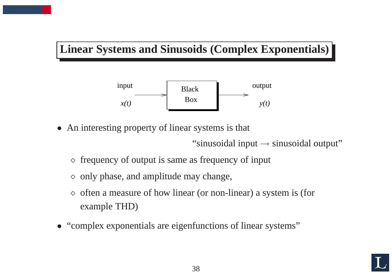#### **Linear Systems and Sinusoids (Complex Exponentials)**



• An interesting property of linear systems is that

"sinusoidal input  $\rightarrow$  sinusoidal output"

- $\diamond$  frequency of output is same as frequency of input
- $\diamond$  only phase, and amplitude may change,
- $\Diamond$  often a measure of how linear (or non-linear) a system is (for example THD)
- "complex exponentials are eigenfunctions of linear systems"

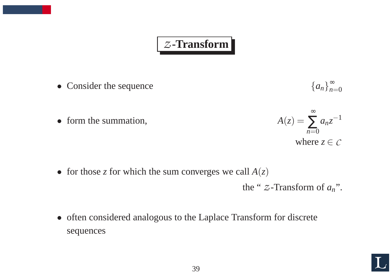#### *Z* **-Transform**

• Consider the sequence

$$
\{a_n\}_{n=0}^\infty
$$

• form the summation,



• for those *z* for which the sum converges we call  $A(z)$ 

the "  $Z$ -Transform of  $a_n$ ".

• often considered analogous to the Laplace Transform for discrete sequences

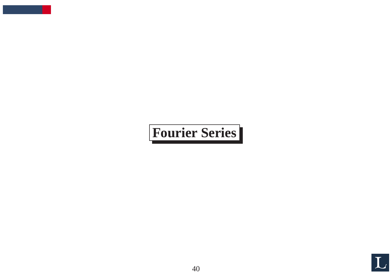# **Fourier Series**

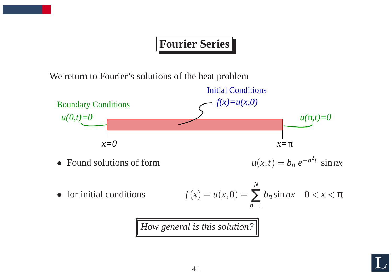# **Fourier Series**

We return to Fourier's solutions of the heat problem



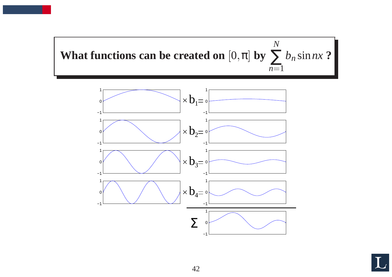



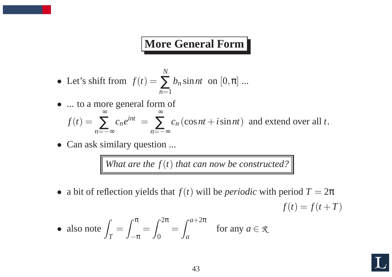#### **More General Form**

- Let's shift from  $f(t) =$ *N* ∑ *<sup>n</sup>*=1  $b_n$  sin *nt* on  $[0, \pi]$  ...
- ... to a more general form of

$$
f(t) = \sum_{n=-\infty}^{\infty} c_n e^{int} = \sum_{n=-\infty}^{\infty} c_n (\cos nt + i \sin nt)
$$
 and extend over all *t*.

• Can ask similary question ...

*What* are the  $f(t)$  that can now be constructed?

• a bit of reflection yields that  $f(t)$  will be *periodic* with period  $T = 2\pi$  $f(t) = f(t + T)$ 

• also note 
$$
\int_{T} = \int_{-\pi}^{\pi} = \int_{0}^{2\pi} = \int_{a}^{a+2\pi}
$$
 for any  $a \in \mathcal{R}$ .

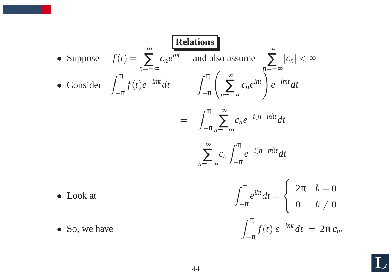• Suppose 
$$
f(t) = \sum_{n=-\infty}^{\infty} c_n e^{int}
$$
 and also assume  
\n• Consider  $\int_{-\pi}^{\pi} f(t)e^{-imt} dt = \int_{-\pi}^{\pi} \left( \sum_{n=-\infty}^{\infty} c_n e^{int} \right) e^{-imt} dt$   
\n $= \int_{-\pi}^{\pi} \sum_{n=-\infty}^{\infty} c_n e^{-i(n-m)t} dt$   
\n $= \sum_{n=-\infty}^{\infty} c_n \int_{-\pi}^{\pi} e^{-i(n-m)t} dt$ 

- 
- Look at  $\int_{-\pi}^{\pi} e^{ikt} dt = \begin{cases} 2\pi & k=0 \\ 0 & k \neq 0 \end{cases}$ • So, we have  $\int_{-\pi}^{\pi} f(t) e^{-imt} dt = 2\pi c_m$
- 

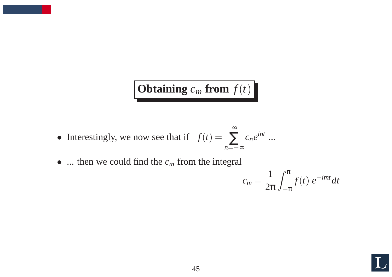# **Obtaining**  $c_m$  **from**  $f(t)$

- Interestingly, we now see that if  $f(t) = \sum c_n e^{int}$  ... ∞ *<sup>n</sup>*<sup>=</sup>−<sup>∞</sup>
- ... then we could find the  $c_m$  from the integral

$$
c_m = \frac{1}{2\pi} \int_{-\pi}^{\pi} f(t) e^{-imt} dt
$$

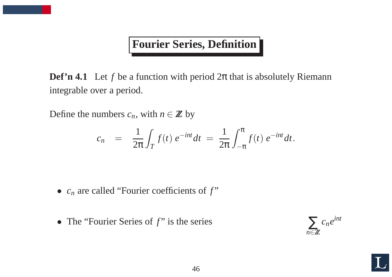## **Fourier Series, Definition**

**Def'n 4.1** Let *f* be <sup>a</sup> function with period 2 <sup>π</sup> that is absolutely Riemann integrable over <sup>a</sup> period.

Define the numbers  $c_n$ , with  $n \in \mathbb{Z}$  by

$$
c_n = \frac{1}{2\pi} \int_T f(t) e^{-int} dt = \frac{1}{2\pi} \int_{-\pi}^{\pi} f(t) e^{-int} dt.
$$

- $c_n$  are called "Fourier coefficients of  $f$ "
- The "Fourier Series of f" is the series



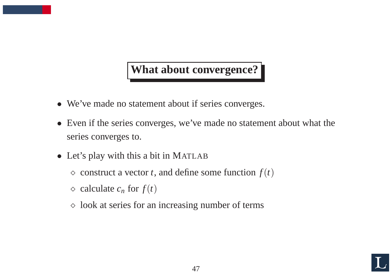#### **What about convergence?**

- We've made no statement about if series converges.
- Even if the series converges, we've made no statement about what the series converges to.
- Let's play with this <sup>a</sup> bit in MATLAB
	- $\Diamond$  construct a vector *t*, and define some function  $f(t)$
	- $\Diamond$  calculate  $c_n$  for  $f(t)$
	- $\diamond$  look at series for an increasing number of terms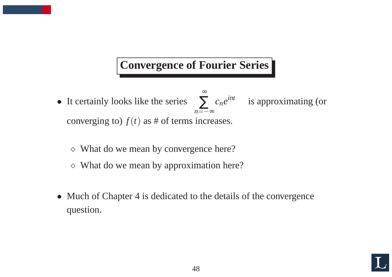# **Convergence of Fourier Series**

- It certainly looks like the series  $\sum c_n e^{int}$  is approximating (or ∞ *n*=−∞ converging to)  $f(t)$  as # of terms increases.
	- <sup>⋄</sup> What do we mean by convergence here?
	- $\diamond$  What do we mean by approximation here?
- Much of Chapter 4 is dedicated to the details of the convergence question.

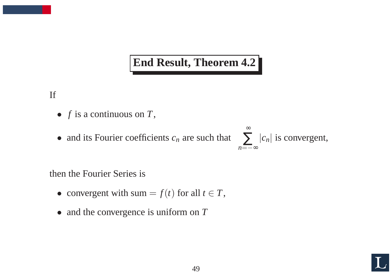#### **End Result, Theorem 4.2**

If

- *f* is <sup>a</sup> continuous on *T*,
- and its Fourier coefficients  $c_n$  are such that



then the Fourier Series is

- convergent with sum  $=f(t)$  for all  $t \in T$ ,
- and the convergence is uniform on T

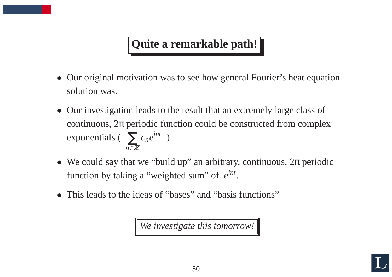# **Quite <sup>a</sup> remarkable path!**

- Our original motivation was to see how general Fourier's heat equation solution was.
- Our investigation leads to the result that an extremely large class of continuous,  $2\pi$  periodic function could be constructed from complex exponentials ( $\sum c_n e^{int}$ ) *n* ∈*ZZ*
- We could say that we "build up" an arbitrary, continuous,  $2\pi$  periodic function by taking <sup>a</sup> "weighted sum" of *eint* .
- This leads to the ideas of "bases" and "basis functions"

*We investigate this tomorrow!*

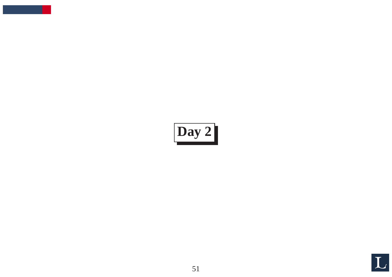# **Day 2**

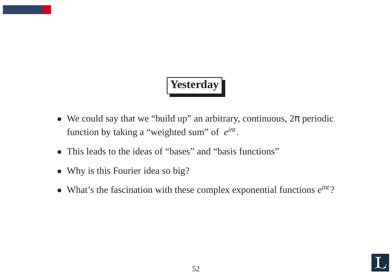# **Yesterday**

- We could say that we "build up" an arbitrary, continuous,  $2\pi$  periodic function by taking <sup>a</sup> "weighted sum" of *<sup>e</sup>int*.
- This leads to the ideas of "bases" and "basis functions"
- Why is this Fourier idea so big?
- What's the fascination with these complex exponential functions *<sup>e</sup>int*?

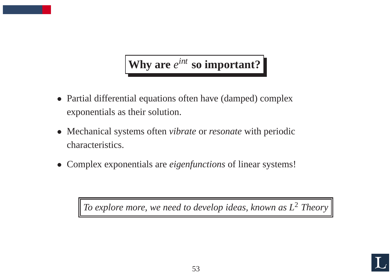# **Why are** *<sup>e</sup>int* **so important?**

- Partial differential equations often have (damped) complex exponentials as their solution.
- Mechanical systems often *vibrate* or *resonate* with periodic characteristics.
- Complex exponentials are *eigenfunctions* of linear systems!

*To* explore more, we need to develop ideas, known as  $L^2$  Theory

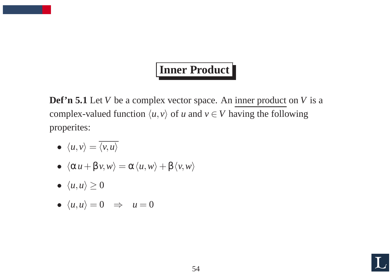# **Inner Product**

**Def'n 5.1** Let *V* be <sup>a</sup> complex vector space. An inner product on *V* is <sup>a</sup> complex-valued function  $\langle u, v \rangle$  of *u* and  $v \in V$  having the following properites:

- $\langle u, v \rangle = \overline{\langle v, u \rangle}$
- $\langle \alpha u + \beta v, w \rangle = \alpha \langle u, w \rangle + \beta \langle v, w \rangle$
- $\langle u, u \rangle \geq 0$

• 
$$
\langle u, u \rangle = 0 \Rightarrow u = 0
$$

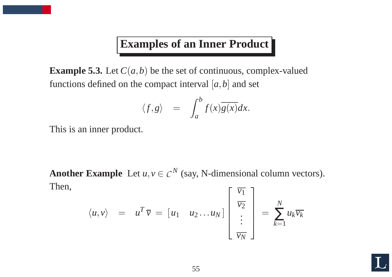#### **Examples of an Inner Product**

**Example 5.3.** Let  $C(a,b)$  be the set of continuous, complex-valued functions defined on the compact interval  $[a, b]$  and set

$$
\langle f, g \rangle = \int_{a}^{b} f(x) \overline{g(x)} dx.
$$

This is an inner product.

Another Example Let  $u, v \in C^N$  (say, N-dimensional column vectors). Then,

$$
\langle u, v \rangle = u^T \overline{v} = [u_1 \quad u_2 \dots u_N] \begin{bmatrix} \overline{v_1} \\ \overline{v_2} \\ \vdots \\ \overline{v_N} \end{bmatrix} = \sum_{k=1}^N u_k \overline{v_k}
$$

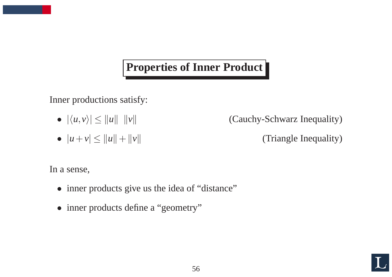## **Properties of Inner Product**

Inner productions satisfy:

- $\bullet$   $|\langle u, v \rangle| \leq ||u||$   $||v$
- $|u + v| \leq ||u|| + ||v||$

(Cauchy-Schwarz Inequality)

(Triangle Inequality)

In <sup>a</sup> sense,

- inner products give us the idea of "distance"
- inner products define a "geometry"

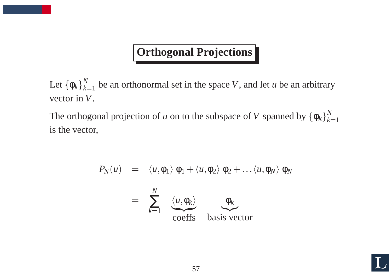# **Orthogonal Projections**

Let  $\left\{\mathsf{\varphi}_k\right\}_{k=1}^N$  $\mu_{k=1}^N$  be an orthonormal set in the space V, and let *u* be an arbitrary vector in *V*.

The orthogonal projection of *u* on to the subspace of *V* spanned by  $\{\phi_k\}_{k=1}^N$  $k$  $=$ 1 is the vector,

$$
P_N(u) = \langle u, \phi_1 \rangle \phi_1 + \langle u, \phi_2 \rangle \phi_2 + \dots \langle u, \phi_N \rangle \phi_N
$$
  
= 
$$
\sum_{k=1}^N \underbrace{\langle u, \phi_k \rangle}_{\text{coeffs}} \underbrace{\phi_k}_{\text{basis vector}}
$$

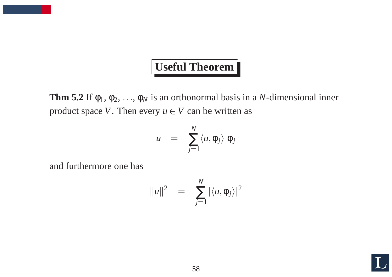# **Useful Theorem**

**Thm 5.2** If  $\phi_1, \phi_2, \ldots, \phi_N$  is an orthonormal basis in a *N*-dimensional inner product space *V*. Then every  $u \in V$  can be written as

$$
u = \sum_{j=1}^N \langle u, \phi_j \rangle \phi_j
$$

and furthermore one has

$$
||u||^2 = \sum_{j=1}^N |\langle u, \phi_j \rangle|^2
$$

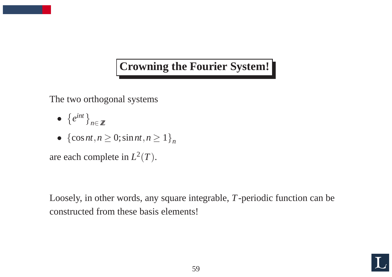## **Crowning the Fourier System!**

The two orthogonal systems

- $\bullet$  $\left\{e^{int}\right\}_{n\in\mathbb{Z}}$
- ${cos nt, n \ge 0; sin nt, n \ge 1}$

are each complete in  $L^2(T)$ .

Loosely, in other words, any square integrable, *T*-periodic function can be constructed from these basis elements!

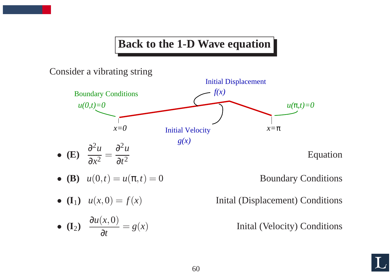#### **Back to the 1-D Wave equation**

Consider <sup>a</sup> vibrating string



• **(B)** 
$$
u(0,t) = u(\pi, t) = 0
$$

• **(I**<sub>1</sub>)  $u(x,0) = f(x)$ 

• **(I**<sub>2</sub>) 
$$
\frac{\partial u(x,0)}{\partial t} = g(x)
$$

**Boundary Conditions** 

) Inital (Displacement) Conditions

) Inital (Velocity) Conditions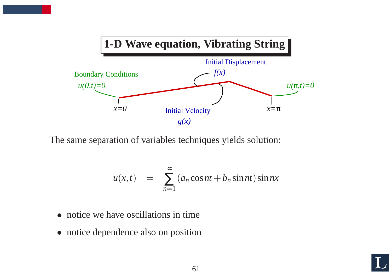

The same separation of variables techniques yields solution:

$$
u(x,t) = \sum_{n=1}^{\infty} (a_n \cos nt + b_n \sin nt) \sin nx
$$

- notice we have oscillations in time
- notice dependence also on position

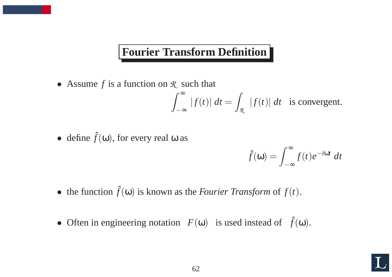## **Fourier Transform Definition**

• Assume *f* is <sup>a</sup> function on *R* such that

$$
\int_{-\infty}^{\infty} |f(t)| dt = \int_{\mathcal{R}} |f(t)| dt
$$
 is convergent.

• define  $\hat{f}(\omega)$ , for every real  $\omega$  as

$$
\hat{f}(\mathbf{\omega}) = \int_{-\infty}^{\infty} f(t) e^{-i\mathbf{\omega}t} dt
$$

- the function  $\hat{f}(\omega)$  is known as the *Fourier Transform* of  $f(t)$ .
- Often in engineering notation  $F(\omega)$  is used instead of  $\hat{f}(\omega)$ .

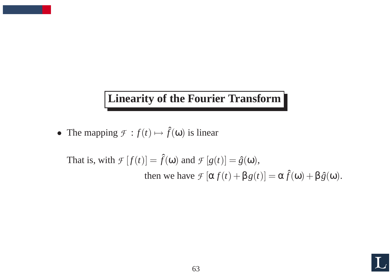## **Linearity of the Fourier Transform**

• The mapping  $\mathcal{F} : f(t) \mapsto \hat{f}(\omega)$  is linear

That is, with  $\mathcal{F}[f(t)] = \hat{f}(\omega)$  and  $\mathcal{F}[g(t)] = \hat{g}(\omega)$ , then we have  $\mathcal{F}[\alpha f(t) + \beta g(t)] = \alpha \hat{f}(\omega) + \beta \hat{g}(\omega)$ .

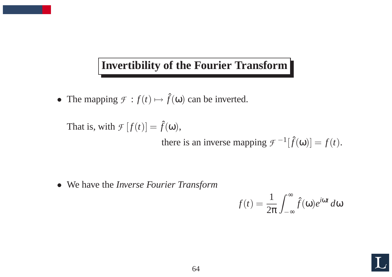#### **Invertibility of the Fourier Transform**

• The mapping  $\mathcal{F} : f(t) \mapsto \hat{f}(\omega)$  can be inverted.

That is, with  $\mathcal{F}[f(t)] = \hat{f}(\omega)$ ,

there is an inverse mapping  $\mathcal{F}^{-1}[\hat{f}(\omega)] = f(t)$ .

• We have the *Inverse Fourier Transform*

$$
f(t) = \frac{1}{2\pi} \int_{-\infty}^{\infty} \hat{f}(\omega) e^{i\omega t} d\omega
$$

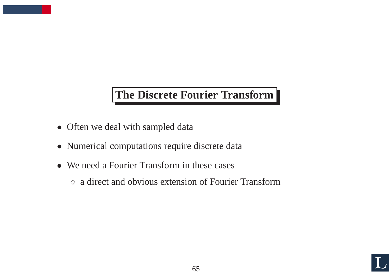## **The Discrete Fourier Transform**

- Often we deal with sampled data
- Numerical computations require discrete data
- We need a Fourier Transform in these cases
	- <sup>⋄</sup> <sup>a</sup> direct and obvious extension of Fourier Transform

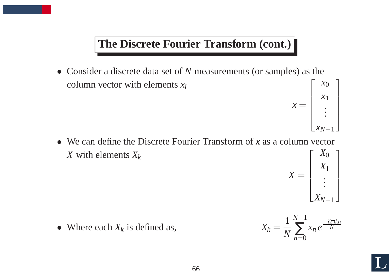#### **The Discrete Fourier Transform (cont.)**

- Consider <sup>a</sup> discrete data set of *N* measurements (or samples) as the column vector with elements *xi*  $\sum$ *x* 0
	- $x =$  $\overline{\phantom{a}}$  $\overline{\phantom{a}}$  $\overline{\phantom{a}}$  $\begin{array}{c} \hline \end{array}$ *x*1 . . .  $x_N$ −1  $\overline{\mathbb{I}}$   $\overline{\phantom{a}}$   $\overline{\phantom{a}}$
- We can define the Discrete Fourier Transform of *<sup>x</sup>* as <sup>a</sup> column vector *X* with elements *X<sup>k</sup>*  $\frac{1}{\sqrt{2}}$ *X*<sup>0</sup>



• Where each  $X_k$  is defined as,

$$
X_k = \frac{1}{N} \sum_{n=0}^{N-1} x_n e^{\frac{-i2\pi kn}{N}}
$$

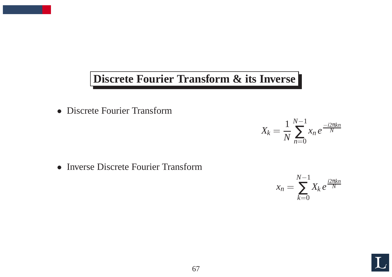#### **Discrete Fourier Transform & its Inverse**

• Discrete Fourier Transform

• Inverse Discrete Fourier Transform

$$
x_n = \sum_{k=0}^{N-1} X_k e^{\frac{i2\pi kn}{N}}
$$

 $X_k =$ 

1

*N* −1

∑

*x n e*

−*i*2 π*kn N*

 $n=0$ 

*N*

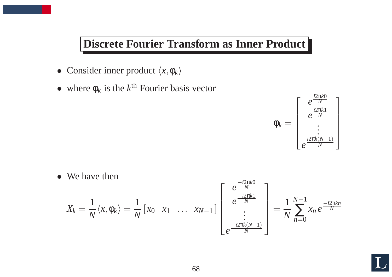#### **Discrete Fourier Transform as Inner Product**

- Consider inner product  $\langle x, \phi_k \rangle$
- where  $\phi_k$  is the  $k^{\text{th}}$  Fourier basis vector



• We have then

$$
X_k = \frac{1}{N} \langle x, \phi_k \rangle = \frac{1}{N} \left[ x_0 \quad x_1 \quad \dots \quad x_{N-1} \right] \begin{bmatrix} e^{\frac{-i2\pi k0}{N}} \\ e^{\frac{-i2\pi k1}{N}} \\ \vdots \\ e^{\frac{-i2\pi k(N-1)}{N}} \end{bmatrix} = \frac{1}{N} \sum_{n=0}^{N-1} x_n e^{\frac{-i2\pi kn}{N}}
$$

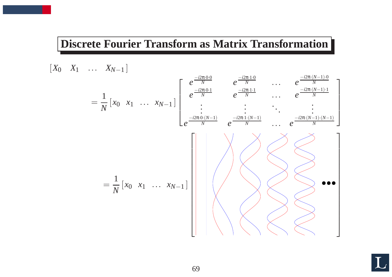#### **Discrete Fourier Transform as Matrix Transformation**

$$
[X_0 \quad X_1 \quad \dots \quad X_{N-1}]
$$
\n
$$
= \frac{1}{N} [x_0 \quad x_1 \quad \dots \quad x_{N-1}] \begin{bmatrix} e^{\frac{-i2\pi \cdot 0}{N}} & e^{\frac{-i2\pi \cdot 1}{N}} & \dots & e^{\frac{-i2\pi (N-1) \cdot 0}{N}} \\ e^{\frac{-i2\pi \cdot 0}{N}} & e^{\frac{-i2\pi \cdot 1}{N}} & \dots & e^{\frac{-i2\pi (N-1) \cdot 1}{N}} \\ \vdots & \vdots & \ddots & \vdots \\ e^{\frac{-i2\pi \cdot 0 \cdot (N-1)}{N}} & e^{\frac{-i2\pi \cdot 1 \cdot (N-1)}{N}} & \dots & e^{\frac{-i2\pi (N-1) \cdot (N-1)}{N}} \end{bmatrix}
$$
\n
$$
= \frac{1}{N} [x_0 \quad x_1 \quad \dots \quad x_{N-1}]
$$

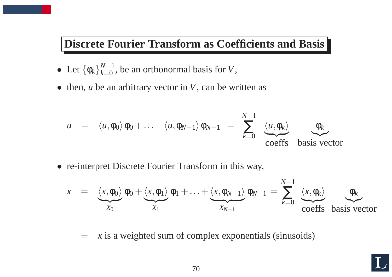#### **Discrete Fourier Transform as Coefficients and Basis**

- Let  $\{\phi_k\}_{k=0}^{N-1}$  $\alpha_{k=0}^{N-1}$ , be an orthonormal basis for V,
- then, *<sup>u</sup>* be an arbitrary vector in *V*, can be written as

$$
u = \langle u, \phi_0 \rangle \phi_0 + \ldots + \langle u, \phi_{N-1} \rangle \phi_{N-1} = \sum_{k=0}^{N-1} \underbrace{\langle u, \phi_k \rangle}_{\text{coeffs}} \underbrace{\phi_k}_{\text{basis vector}}
$$

• re-interpret Discrete Fourier Transform in this way,

$$
x = \underbrace{\langle x, \phi_0 \rangle}_{X_0} \phi_0 + \underbrace{\langle x, \phi_1 \rangle}_{X_1} \phi_1 + \ldots + \underbrace{\langle x, \phi_{N-1} \rangle}_{X_{N-1}} \phi_{N-1} = \sum_{k=0}^{N-1} \underbrace{\langle x, \phi_k \rangle}_{\text{coeffs basis vector}}
$$

= *<sup>x</sup>* is <sup>a</sup> weighted sum of complex exponentials (sinusoids)

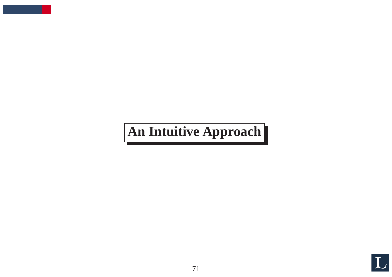# **An Intuitive Approach**

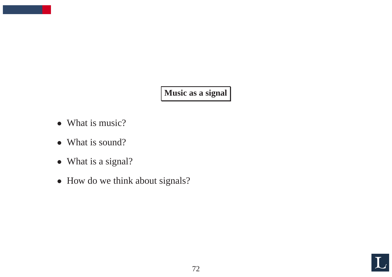**Music as <sup>a</sup> signal**

- What is music?
- What is sound?
- What is a signal?
- How do we think about signals?

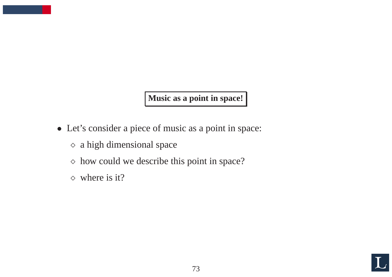**Music as <sup>a</sup> point in space!**

- Let's consider <sup>a</sup> piece of music as <sup>a</sup> point in space:
	- $\diamond$  a high dimensional space
	- <sup>⋄</sup> how could we describe this point in space?
	- $\diamond$  where is it?

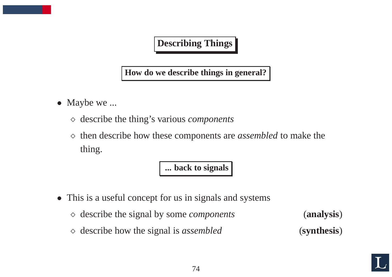#### **Describing Things**

**How do we describe things in general?**

- Maybe we ...
	- <sup>⋄</sup> describe the thing's various *components*
	- <sup>⋄</sup> then describe how these components are *assembled* to make the thing.

**... back to signals**

- This is <sup>a</sup> useful concep<sup>t</sup> for us in signals and systems
	- <sup>⋄</sup> describe the signal by some *components* (**analysis**)
	- <sup>⋄</sup> describe how the signal is *assembled* (**synthesis**)

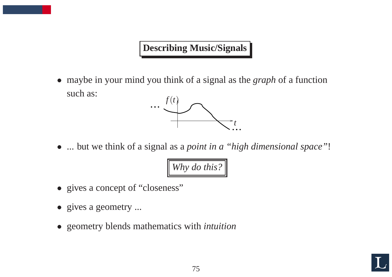### **Describing Music/Signals**

• maybe in your mind you think of <sup>a</sup> signal as the *graph* of <sup>a</sup> function such as:



• ... but we think of <sup>a</sup> signal as <sup>a</sup> *point in <sup>a</sup> "high dimensional space"*!

*Why do this?*

- gives a concept of "closeness"
- gives a geometry ...
- geometry blends mathematics with *intuition*

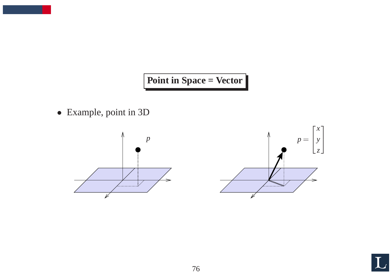## Point in Space = Vector

• Example, point in 3D





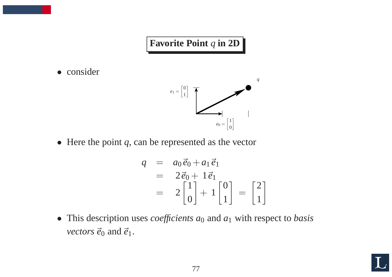# **Favorite** Point  $q$  in 2D

• consider



• Here the point  $q$ , can be represented as the vector

$$
q = a_0 \vec{e}_0 + a_1 \vec{e}_1
$$
  
=  $2 \vec{e}_0 + 1 \vec{e}_1$   
=  $2 \begin{bmatrix} 1 \\ 0 \end{bmatrix} + 1 \begin{bmatrix} 0 \\ 1 \end{bmatrix} = \begin{bmatrix} 2 \\ 1 \end{bmatrix}$ 

• This description uses *coefficients <sup>a</sup>*<sup>0</sup> and *<sup>a</sup>*<sup>1</sup> with respec<sup>t</sup> to *basis vectors*  $\vec{e}_0$  and  $\vec{e}_1$ .

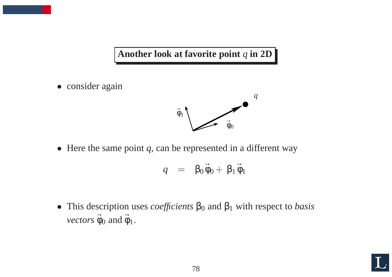#### **Another look at favorite point** *<sup>q</sup>* **in 2D**

• consider again



• Here the same point *q*, can be represented in <sup>a</sup> different way

$$
q = \beta_0 \vec{\phi}_0 + \beta_1 \vec{\phi}_1
$$

• This description uses *coefficients*  $\beta_0$  and  $\beta_1$  with respect to *basis vectors*  $\vec{\phi}_0$  and  $\vec{\phi}_1$ .

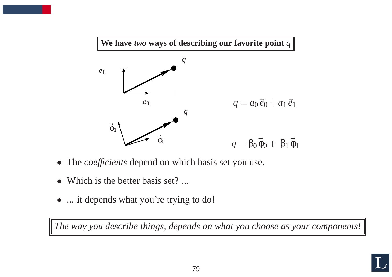

- The *coefficients* depend on which basis set you use.
- Which is the better basis set? ...
- ... it depends what you're trying to do!

The way you describe things, depends on what you choose as your components!

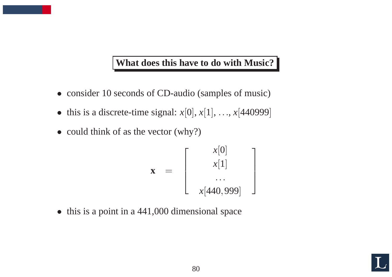#### **What does this have to do with Music?**

- consider 10 seconds of CD-audio (samples of music)
- this is a discrete-time signal:  $x[0], x[1], \ldots, x[440999]$
- could think of as the vector (why?)

$$
\mathbf{x} = \begin{bmatrix} x[0] \\ x[1] \\ \cdots \\ x[440,999] \end{bmatrix}
$$

• this is a point in a 441,000 dimensional space

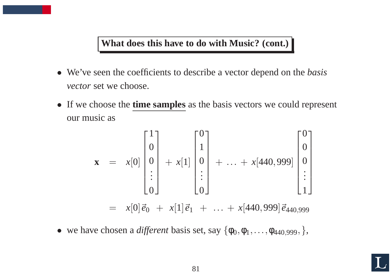#### **What does this have to do with Music? (cont.)**

- We've seen the coefficients to describe <sup>a</sup> vector depend on the *basis vector* set we choose.
- If we choose the **time samples** as the basis vectors we could represent our music as

$$
\mathbf{x} = x[0] \begin{bmatrix} 1 \\ 0 \\ 0 \\ \vdots \\ 0 \end{bmatrix} + x[1] \begin{bmatrix} 0 \\ 1 \\ 0 \\ \vdots \\ 0 \end{bmatrix} + \dots + x[440,999] \begin{bmatrix} 0 \\ 0 \\ 0 \\ \vdots \\ 1 \end{bmatrix}
$$
  
=  $x[0] \vec{e}_0 + x[1] \vec{e}_1 + \dots + x[440,999] \vec{e}_{440,999}$ 

• we have chosen a *different* basis set, say  $\{\phi_0, \phi_1, \dots, \phi_{440,999},\}$ ,

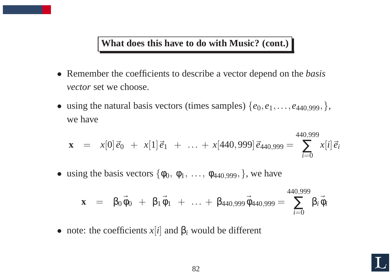#### **What does this have to do with Music? (cont.)**

- Remember the coefficients to describe <sup>a</sup> vector depend on the *basis vector* set we choose.
- using the natural basis vectors (times samples)  $\{e_0, e_1, \ldots, e_{440,999},\}$ , we have

$$
\mathbf{x} = x[0]\vec{e}_0 + x[1]\vec{e}_1 + \ldots + x[440,999]\vec{e}_{440,999} = \sum_{i=0}^{440,999} x[i]\vec{e}_i
$$

• using the basis vectors  $\{\phi_0, \phi_1, \ldots, \phi_{440,999},\}$ , we have

$$
\mathbf{x} = \beta_0 \vec{\phi}_0 + \beta_1 \vec{\phi}_1 + \ldots + \beta_{440,999} \vec{\phi}_{440,999} = \sum_{i=0}^{440,999} \beta_i \vec{\phi}_i
$$

• note: the coefficients  $x[i]$  and  $\beta_i$  would be different

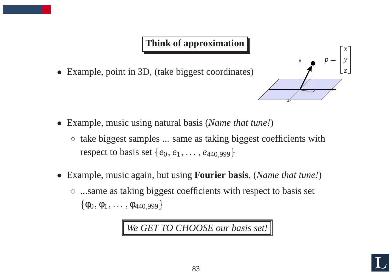## **Think of approximation**

• Example, point in 3D, (take biggest coordinates)



- Example, music using natural basis (*Name that tune!*)
	- $\diamond$  take biggest samples  $\dots$  same as taking biggest coefficients with respect to basis set  $\{e_0, e_1, \ldots, e_{440,999}\}\$
- Example, music again, but using **Fourier basis**, (*Name that tune!*)
	- <sup>⋄</sup> ...same as taking biggest coefficients with respec<sup>t</sup> to basis set  $\{\phi_0, \phi_1, \ldots, \phi_{440,999}\}$

*We GET TO CHOOSE our basis set!*

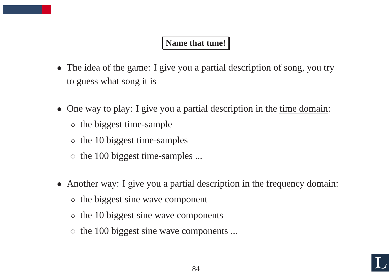#### **Name that tune!**

- The idea of the game: I give you a partial description of song, you try to guess what song it is
- One way to play: I give you a partial description in the time domain:
	- $\diamond$  the biggest time-sample
	- $\diamond$  the 10 biggest time-samples
	- $\diamond$  the 100 biggest time-samples ...
- Another way: I give you a partial description in the frequency domain:
	- $\diamond$  the biggest sine wave component
	- $\diamond$  the 10 biggest sine wave components
	- $\Diamond$  the 100 biggest sine wave components ...

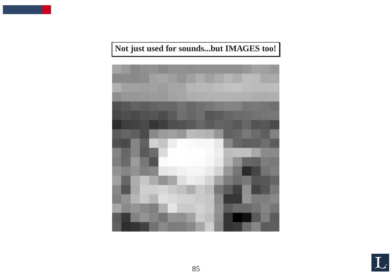

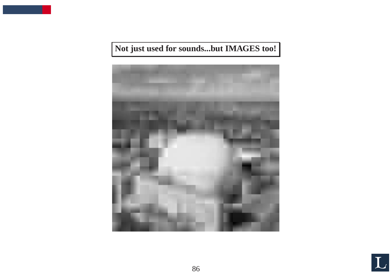

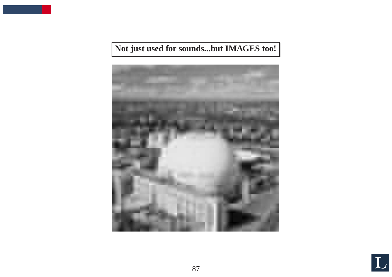

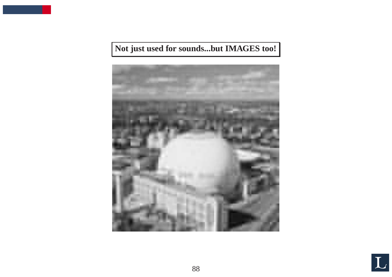

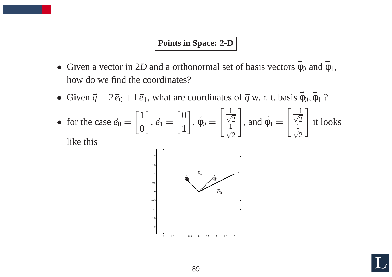#### **Points in Space: 2-D**

- Given a vector in 2D and a orthonormal set of basis vectors  $\vec{\phi}_0$  and  $\vec{\phi}_1$ , how do we find the coordinates?
- Given  $\vec{q} = 2\vec{e}_0 + 1\vec{e}_1$ , what are coordinates of  $\vec{q}$  w. r. t. basis  $\vec{\phi}_0$ ,  $\vec{\phi}_1$  ?
- for the case  $\vec{e}_0 = \begin{bmatrix} 1 \\ 0 \end{bmatrix}$ ,  $\vec{e}_1 = \begin{bmatrix} 0 \\ 1 \end{bmatrix}$ ,  $\vec{\phi}_0 = \begin{bmatrix} \frac{1}{\sqrt{2}} \\ \frac{1}{\sqrt{2}} \end{bmatrix}$ , and  $\vec{\phi}_1 = \begin{bmatrix} \frac{-1}{\sqrt{2}} \\ \frac{1}{\sqrt{2}} \end{bmatrix}$  it looks

like this



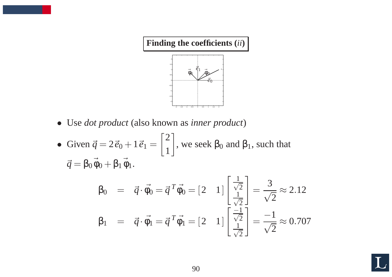

- Use *dot product* (also known as *inner product*)
- Given  $\vec{q} = 2\vec{e}_0 + 1\vec{e}_1 = \begin{bmatrix} 2 \\ 1 \end{bmatrix}$ , we seek  $\beta_0$  and  $\beta_1$ , such that  $\vec{q} = \beta_0 \vec{\phi}_0 + \beta_1 \vec{\phi}_1.$

$$
\beta_0 = \vec{q} \cdot \vec{\phi}_0 = \vec{q}^T \vec{\phi}_0 = [2 \quad 1] \begin{bmatrix} \frac{1}{\sqrt{2}} \\ \frac{1}{\sqrt{2}} \end{bmatrix} = \frac{3}{\sqrt{2}} \approx 2.12
$$
  

$$
\beta_1 = \vec{q} \cdot \vec{\phi}_1 = \vec{q}^T \vec{\phi}_1 = [2 \quad 1] \begin{bmatrix} \frac{-1}{\sqrt{2}} \\ \frac{1}{\sqrt{2}} \end{bmatrix} = \frac{-1}{\sqrt{2}} \approx 0.707
$$

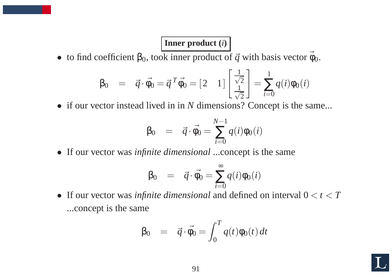#### **Inner product (***i***)**

• to find coefficient  $\beta_0$ , took inner product of  $\vec{q}$  with basis vector  $\vec{\phi}_0$ .

$$
\beta_0 = \vec{q} \cdot \vec{\phi_0} = \vec{q}^T \vec{\phi_0} = \begin{bmatrix} 2 & 1 \end{bmatrix} \begin{bmatrix} \frac{1}{\sqrt{2}} \\ \frac{1}{\sqrt{2}} \end{bmatrix} = \sum_{i=0}^{1} q(i) \phi_0(i)
$$

• if our vector instead lived in in *N* dimensions? Concept is the same...

$$
\beta_0 = \vec{q} \cdot \vec{\phi}_0 = \sum_{i=0}^{N-1} q(i) \phi_0(i)
$$

• If our vector was *infinite dimensional* ...concept is the same

$$
\beta_0 = \vec{q} \cdot \vec{\phi_0} = \sum_{i=0}^{\infty} q(i) \phi_0(i)
$$

• If our vector was *infinite dimensional* and defined on interval  $0 < t < T$ ...concep<sup>t</sup> is the same

$$
\beta_0 = \vec{q} \cdot \vec{\phi_0} = \int_0^T q(t) \phi_0(t) dt
$$

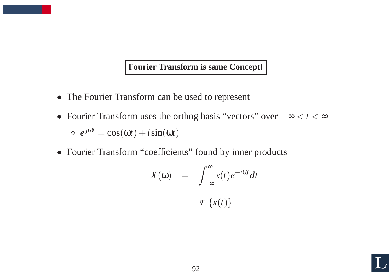#### **Fourier Transform is same Concept!**

- The Fourier Transform can be used to represent
- Fourier Transform uses the orthog basis "vectors" over  $-\infty < t < \infty$  $\Diamond e^{j\omega t} = \cos(\omega t) + i\sin(\omega t)$
- Fourier Transform "coefficients" found by inner products

$$
X(\omega) = \int_{-\infty}^{\infty} x(t)e^{-i\omega t}dt
$$

$$
= \mathcal{F}\left\{x(t)\right\}
$$

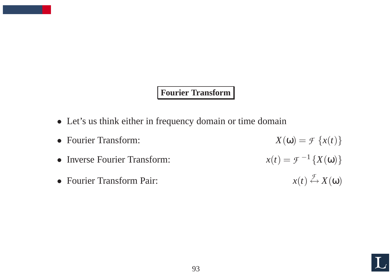#### **Fourier Transform**

- Let's us think either in frequency domain or time domain
- Fourier Transform:  $X(\omega) = \mathcal{F}\{x(t)\}$ • Inverse Fourier Transform:  $x(t) = \mathcal{F}^{-1}\left\{X(\omega)\right\}$ • Fourier Transform Pair:  $x(t) \stackrel{\mathcal{F}}{\leftrightarrow} X(\omega)$

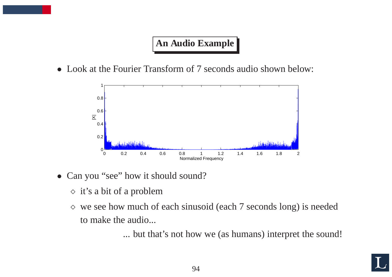## **An Audio Example**

• Look at the Fourier Transform of 7 seconds audio shown below:



- Can you "see" how it should sound?
	- $\Diamond$  it's a bit of a problem
	- $\Diamond$  we see how much of each sinusoid (each 7 seconds long) is needed to make the audio...

... but that's not how we (as humans) interpret the sound!

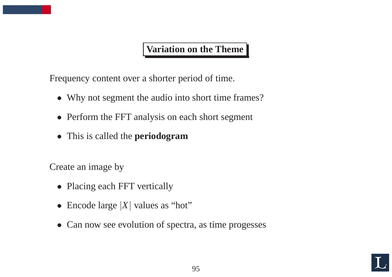## **Variation on the Theme**

Frequency content over <sup>a</sup> shorter period of time.

- Why not segment the audio into short time frames?
- Perform the FFT analysis on each short segment
- This is called the **periodogram**

Create an image by

- Placing each FFT vertically
- Encode large |*X*| values as "hot"
- Can now see evolution of spectra, as time progesses

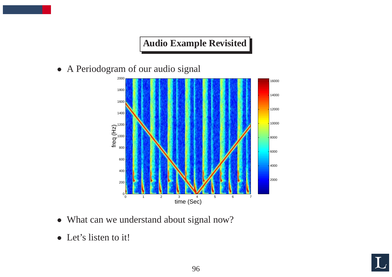# **Audio Example Revisited**

• A Periodogram of our audio signal



- What can we understand about signal now?
- Let's listen to it!

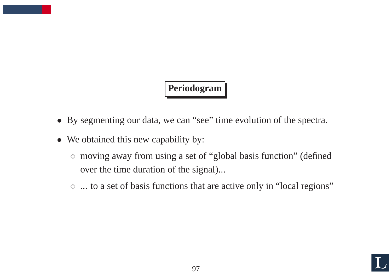# **Periodogram**

- By segmenting our data, we can "see" time evolution of the spectra.
- We obtained this new capability by:
	- <sup>⋄</sup> moving away from using <sup>a</sup> set of "global basis function" (defined over the time duration of the signal)...
	- <sup>⋄</sup> ... to <sup>a</sup> set of basis functions that are active only in "local regions"